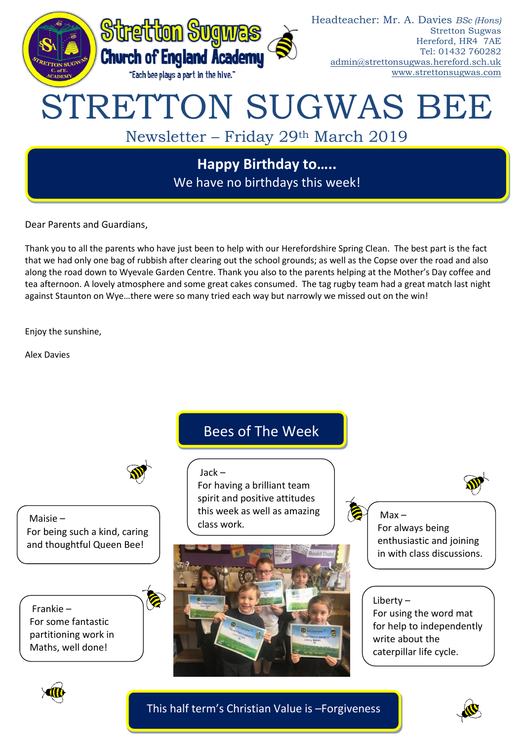

Dear Parents and Guardians,

Thank you to all the parents who have just been to help with our Herefordshire Spring Clean. The best part is the fact that we had only one bag of rubbish after clearing out the school grounds; as well as the Copse over the road and also along the road down to Wyevale Garden Centre. Thank you also to the parents helping at the Mother's Day coffee and tea afternoon. A lovely atmosphere and some great cakes consumed. The tag rugby team had a great match last night against Staunton on Wye…there were so many tried each way but narrowly we missed out on the win!

Enjoy the sunshine,

Alex Davies

Maisie –

For being such a kind, caring and thoughtful Queen Bee!

Bees of The Week

## Jack –

For having a brilliant team spirit and positive attitudes this week as well as amazing class work.



 $Max -$ 

For always being enthusiastic and joining in with class discussions.

Liberty – For using the word mat for help to independently write about the caterpillar life cycle.



Frankie –

For some fantastic partitioning work in Maths, well done!

This half term's Christian Value is –Forgiveness